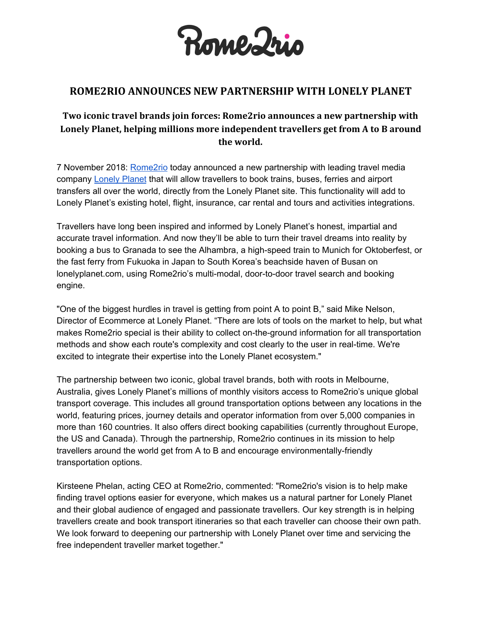

## **ROME2RIO ANNOUNCES NEW PARTNERSHIP WITH LONELY PLANET**

## **Two iconic travel brands join forces: Rome2rio announces a new partnership with Lonely Planet, helping millions more independent travellers get from A to B around the world.**

7 November 2018: [Rome2rio](https://www.rome2rio.com/) today announced a new partnership with leading travel media company [Lonely](https://www.lonelyplanet.com/) Planet that will allow travellers to book trains, buses, ferries and airport transfers all over the world, directly from the Lonely Planet site. This functionality will add to Lonely Planet's existing hotel, flight, insurance, car rental and tours and activities integrations.

Travellers have long been inspired and informed by Lonely Planet's honest, impartial and accurate travel information. And now they'll be able to turn their travel dreams into reality by booking a bus to Granada to see the Alhambra, a high-speed train to Munich for Oktoberfest, or the fast ferry from Fukuoka in Japan to South Korea's beachside haven of Busan on lonelyplanet.com, using Rome2rio's multi-modal, door-to-door travel search and booking engine.

"One of the biggest hurdles in travel is getting from point A to point B," said Mike Nelson, Director of Ecommerce at Lonely Planet. "There are lots of tools on the market to help, but what makes Rome2rio special is their ability to collect on-the-ground information for all transportation methods and show each route's complexity and cost clearly to the user in real-time. We're excited to integrate their expertise into the Lonely Planet ecosystem."

The partnership between two iconic, global travel brands, both with roots in Melbourne, Australia, gives Lonely Planet's millions of monthly visitors access to Rome2rio's unique global transport coverage. This includes all ground transportation options between any locations in the world, featuring prices, journey details and operator information from over 5,000 companies in more than 160 countries. It also offers direct booking capabilities (currently throughout Europe, the US and Canada). Through the partnership, Rome2rio continues in its mission to help travellers around the world get from A to B and encourage environmentally-friendly transportation options.

Kirsteene Phelan, acting CEO at Rome2rio, commented: "Rome2rio's vision is to help make finding travel options easier for everyone, which makes us a natural partner for Lonely Planet and their global audience of engaged and passionate travellers. Our key strength is in helping travellers create and book transport itineraries so that each traveller can choose their own path. We look forward to deepening our partnership with Lonely Planet over time and servicing the free independent traveller market together."